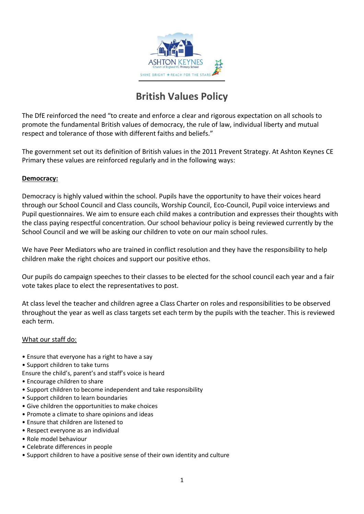

# **British Values Policy**

The DfE reinforced the need "to create and enforce a clear and rigorous expectation on all schools to promote the fundamental British values of democracy, the rule of law, individual liberty and mutual respect and tolerance of those with different faiths and beliefs."

The government set out its definition of British values in the 2011 Prevent Strategy. At Ashton Keynes CE Primary these values are reinforced regularly and in the following ways:

# **Democracy:**

Democracy is highly valued within the school. Pupils have the opportunity to have their voices heard through our School Council and Class councils, Worship Council, Eco-Council, Pupil voice interviews and Pupil questionnaires. We aim to ensure each child makes a contribution and expresses their thoughts with the class paying respectful concentration. Our school behaviour policy is being reviewed currently by the School Council and we will be asking our children to vote on our main school rules.

We have Peer Mediators who are trained in conflict resolution and they have the responsibility to help children make the right choices and support our positive ethos.

Our pupils do campaign speeches to their classes to be elected for the school council each year and a fair vote takes place to elect the representatives to post.

At class level the teacher and children agree a Class Charter on roles and responsibilities to be observed throughout the year as well as class targets set each term by the pupils with the teacher. This is reviewed each term.

# What our staff do:

- Ensure that everyone has a right to have a say
- Support children to take turns
- Ensure the child's, parent's and staff's voice is heard
- Encourage children to share
- Support children to become independent and take responsibility
- Support children to learn boundaries
- Give children the opportunities to make choices
- Promote a climate to share opinions and ideas
- Ensure that children are listened to
- Respect everyone as an individual
- Role model behaviour
- Celebrate differences in people
- Support children to have a positive sense of their own identity and culture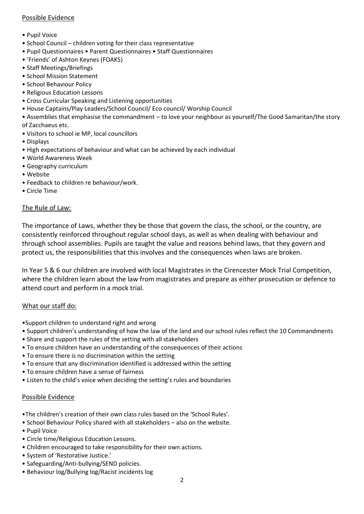# Possible Evidence

- Pupil Voice
- School Council children voting for their class representative
- Pupil Questionnaires Parent Questionnaires Staff Questionnaires
- 'Friends' of Ashton Keynes (FOAKS)
- Staff Meetings/Briefings
- School Mission Statement
- School Behaviour Policy
- Religious Education Lessons
- Cross Curricular Speaking and Listening opportunities
- House Captains/Play Leaders/School Council/ Eco council/ Worship Council
- Assemblies that emphasise the commandment to love your neighbour as yourself/The Good Samaritan/the story of Zacchaeus etc.
- Visitors to school ie MP, local councillors
- Displays
- High expectations of behaviour and what can be achieved by each individual
- World Awareness Week
- Geography curriculum
- Website
- Feedback to children re behaviour/work.
- Circle Time

# The Rule of Law:

The importance of Laws, whether they be those that govern the class, the school, or the country, are consistently reinforced throughout regular school days, as well as when dealing with behaviour and through school assemblies. Pupils are taught the value and reasons behind laws, that they govern and protect us, the responsibilities that this involves and the consequences when laws are broken.

In Year 5 & 6 our children are involved with local Magistrates in the Cirencester Mock Trial Competition, where the children learn about the law from magistrates and prepare as either prosecution or defence to attend court and perform in a mock trial.

# What our staff do:

- •Support children to understand right and wrong
- Support children's understanding of how the law of the land and our school rules reflect the 10 Commandments
- Share and support the rules of the setting with all stakeholders
- To ensure children have an understanding of the consequences of their actions
- To ensure there is no discrimination within the setting
- To ensure that any discrimination identified is addressed within the setting
- To ensure children have a sense of fairness
- Listen to the child's voice when deciding the setting's rules and boundaries

# Possible Evidence

- •The children's creation of their own class rules based on the 'School Rules'.
- School Behaviour Policy shared with all stakeholders also on the website.
- Pupil Voice
- Circle time/Religious Education Lessons.
- Children encouraged to take responsibility for their own actions.
- System of 'Restorative Justice.'
- Safeguarding/Anti-bullying/SEND policies.
- Behaviour log/Bullying log/Racist incidents log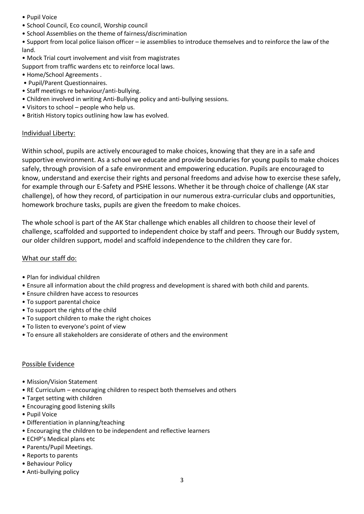- Pupil Voice
- School Council, Eco council, Worship council
- School Assemblies on the theme of fairness/discrimination

• Support from local police liaison officer – ie assemblies to introduce themselves and to reinforce the law of the land.

• Mock Trial court involvement and visit from magistrates

Support from traffic wardens etc to reinforce local laws.

- Home/School Agreements .
- Pupil/Parent Questionnaires.
- Staff meetings re behaviour/anti-bullying.
- Children involved in writing Anti-Bullying policy and anti-bullying sessions.
- Visitors to school people who help us.
- British History topics outlining how law has evolved.

#### Individual Liberty:

Within school, pupils are actively encouraged to make choices, knowing that they are in a safe and supportive environment. As a school we educate and provide boundaries for young pupils to make choices safely, through provision of a safe environment and empowering education. Pupils are encouraged to know, understand and exercise their rights and personal freedoms and advise how to exercise these safely, for example through our E-Safety and PSHE lessons. Whether it be through choice of challenge (AK star challenge), of how they record, of participation in our numerous extra-curricular clubs and opportunities, homework brochure tasks, pupils are given the freedom to make choices.

The whole school is part of the AK Star challenge which enables all children to choose their level of challenge, scaffolded and supported to independent choice by staff and peers. Through our Buddy system, our older children support, model and scaffold independence to the children they care for.

#### What our staff do:

- Plan for individual children
- Ensure all information about the child progress and development is shared with both child and parents.
- Ensure children have access to resources
- To support parental choice
- To support the rights of the child
- To support children to make the right choices
- To listen to everyone's point of view
- To ensure all stakeholders are considerate of others and the environment

#### Possible Evidence

- Mission/Vision Statement
- RE Curriculum encouraging children to respect both themselves and others
- Target setting with children
- Encouraging good listening skills
- Pupil Voice
- Differentiation in planning/teaching
- Encouraging the children to be independent and reflective learners
- ECHP's Medical plans etc
- Parents/Pupil Meetings.
- Reports to parents
- Behaviour Policy
- Anti-bullying policy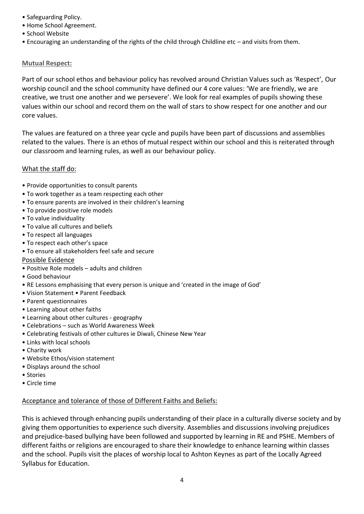- Safeguarding Policy.
- Home School Agreement.
- School Website
- Encouraging an understanding of the rights of the child through Childline etc and visits from them.

# **Mutual Respect:**

Part of our school ethos and behaviour policy has revolved around Christian Values such as 'Respect', Our worship council and the school community have defined our 4 core values: 'We are friendly, we are creative, we trust one another and we persevere'. We look for real examples of pupils showing these values within our school and record them on the wall of stars to show respect for one another and our core values.

The values are featured on a three year cycle and pupils have been part of discussions and assemblies related to the values. There is an ethos of mutual respect within our school and this is reiterated through our classroom and learning rules, as well as our behaviour policy.

# What the staff do:

- Provide opportunities to consult parents
- To work together as a team respecting each other
- To ensure parents are involved in their children's learning
- To provide positive role models
- To value individuality
- To value all cultures and beliefs
- To respect all languages
- To respect each other's space
- To ensure all stakeholders feel safe and secure

# Possible Evidence

- Positive Role models adults and children
- Good behaviour
- RE Lessons emphasising that every person is unique and 'created in the image of God'
- Vision Statement Parent Feedback
- Parent questionnaires
- Learning about other faiths
- Learning about other cultures geography
- Celebrations such as World Awareness Week
- Celebrating festivals of other cultures ie Diwali, Chinese New Year
- Links with local schools
- Charity work
- Website Ethos/vision statement
- Displays around the school
- Stories
- Circle time

# Acceptance and tolerance of those of Different Faiths and Beliefs:

This is achieved through enhancing pupils understanding of their place in a culturally diverse society and by giving them opportunities to experience such diversity. Assemblies and discussions involving prejudices and prejudice-based bullying have been followed and supported by learning in RE and PSHE. Members of different faiths or religions are encouraged to share their knowledge to enhance learning within classes and the school. Pupils visit the places of worship local to Ashton Keynes as part of the Locally Agreed Syllabus for Education.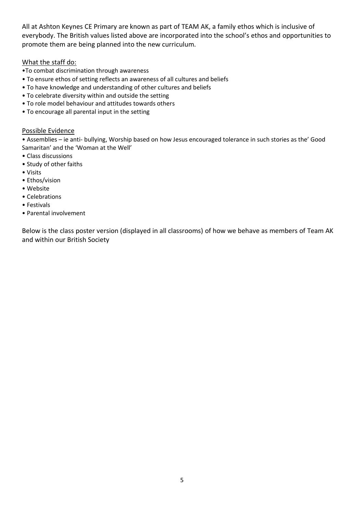All at Ashton Keynes CE Primary are known as part of TEAM AK, a family ethos which is inclusive of everybody. The British values listed above are incorporated into the school's ethos and opportunities to promote them are being planned into the new curriculum.

# What the staff do:

- •To combat discrimination through awareness
- To ensure ethos of setting reflects an awareness of all cultures and beliefs
- To have knowledge and understanding of other cultures and beliefs
- To celebrate diversity within and outside the setting
- To role model behaviour and attitudes towards others
- To encourage all parental input in the setting

# Possible Evidence

• Assemblies – ie anti- bullying, Worship based on how Jesus encouraged tolerance in such stories as the' Good Samaritan' and the 'Woman at the Well'

- Class discussions
- Study of other faiths
- Visits
- Ethos/vision
- Website
- Celebrations
- Festivals
- Parental involvement

Below is the class poster version (displayed in all classrooms) of how we behave as members of Team AK and within our British Society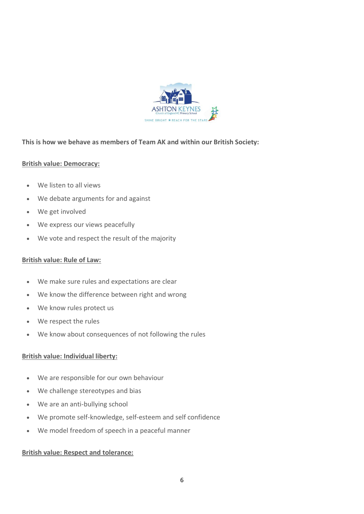

# **This is how we behave as members of Team AK and within our British Society:**

# **British value: Democracy:**

- We listen to all views
- We debate arguments for and against
- We get involved
- We express our views peacefully
- We vote and respect the result of the majority

# **British value: Rule of Law:**

- We make sure rules and expectations are clear
- We know the difference between right and wrong
- We know rules protect us
- We respect the rules
- We know about consequences of not following the rules

# **British value: Individual liberty:**

- We are responsible for our own behaviour
- We challenge stereotypes and bias
- We are an anti-bullying school
- We promote self-knowledge, self-esteem and self confidence
- We model freedom of speech in a peaceful manner

# **British value: Respect and tolerance:**